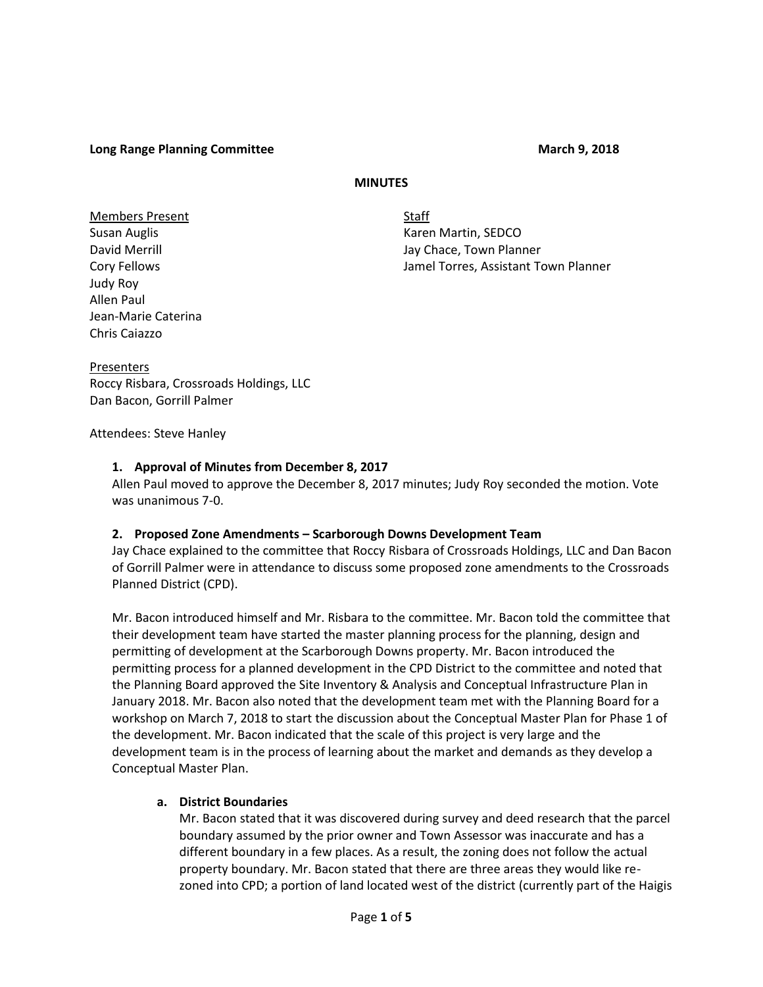**Long Range Planning Committee**  March 9, 2018

### **MINUTES**

Members Present Staff Judy Roy Allen Paul Jean-Marie Caterina Chris Caiazzo

Susan Auglis **Karen Martin, SEDCO** David Merrill **David Merrill** Jay Chace, Town Planner Cory Fellows Jamel Torres, Assistant Town Planner

Presenters Roccy Risbara, Crossroads Holdings, LLC Dan Bacon, Gorrill Palmer

Attendees: Steve Hanley

### **1. Approval of Minutes from December 8, 2017**

Allen Paul moved to approve the December 8, 2017 minutes; Judy Roy seconded the motion. Vote was unanimous 7-0.

### **2. Proposed Zone Amendments – Scarborough Downs Development Team**

Jay Chace explained to the committee that Roccy Risbara of Crossroads Holdings, LLC and Dan Bacon of Gorrill Palmer were in attendance to discuss some proposed zone amendments to the Crossroads Planned District (CPD).

Mr. Bacon introduced himself and Mr. Risbara to the committee. Mr. Bacon told the committee that their development team have started the master planning process for the planning, design and permitting of development at the Scarborough Downs property. Mr. Bacon introduced the permitting process for a planned development in the CPD District to the committee and noted that the Planning Board approved the Site Inventory & Analysis and Conceptual Infrastructure Plan in January 2018. Mr. Bacon also noted that the development team met with the Planning Board for a workshop on March 7, 2018 to start the discussion about the Conceptual Master Plan for Phase 1 of the development. Mr. Bacon indicated that the scale of this project is very large and the development team is in the process of learning about the market and demands as they develop a Conceptual Master Plan.

### **a. District Boundaries**

Mr. Bacon stated that it was discovered during survey and deed research that the parcel boundary assumed by the prior owner and Town Assessor was inaccurate and has a different boundary in a few places. As a result, the zoning does not follow the actual property boundary. Mr. Bacon stated that there are three areas they would like re zoned into CPD; a portion of land located west of the district (currently part of the Haigis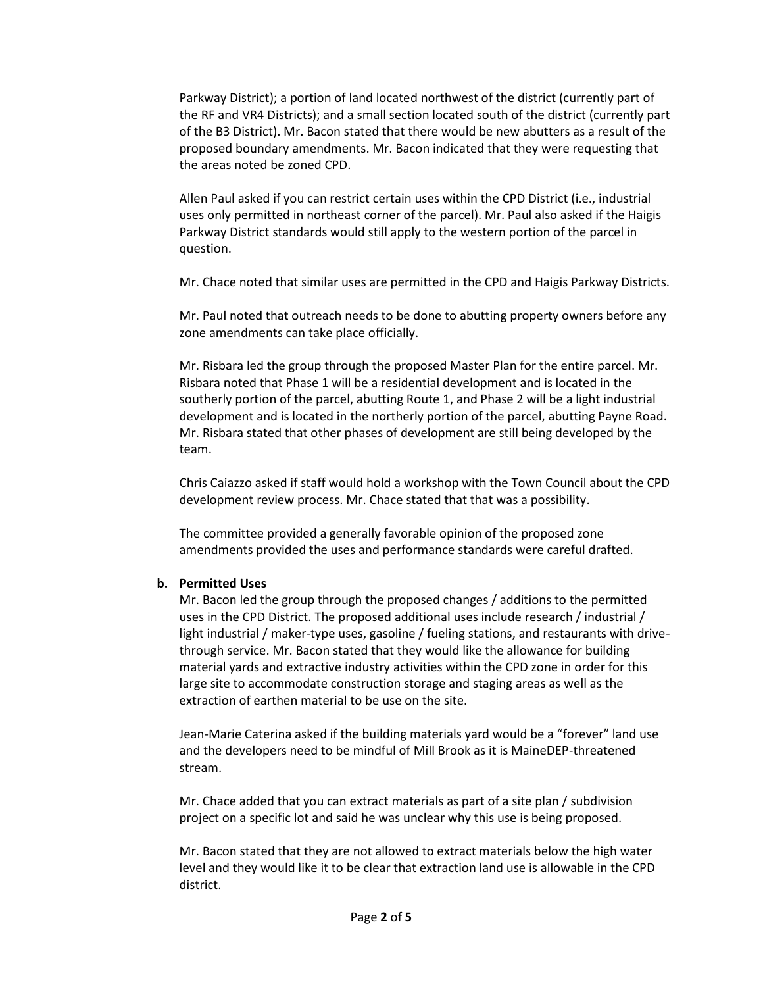Parkway District); a portion of land located northwest of the district (currently part of the RF and VR4 Districts); and a small section located south of the district (currently part of the B3 District). Mr. Bacon stated that there would be new abutters as a result of the proposed boundary amendments. Mr. Bacon indicated that they were requesting that the areas noted be zoned CPD.

Allen Paul asked if you can restrict certain uses within the CPD District (i.e., industrial uses only permitted in northeast corner of the parcel). Mr. Paul also asked if the Haigis Parkway District standards would still apply to the western portion of the parcel in question.

Mr. Chace noted that similar uses are permitted in the CPD and Haigis Parkway Districts.

Mr. Paul noted that outreach needs to be done to abutting property owners before any zone amendments can take place officially.

Mr. Risbara led the group through the proposed Master Plan for the entire parcel. Mr. Risbara noted that Phase 1 will be a residential development and is located in the southerly portion of the parcel, abutting Route 1, and Phase 2 will be a light industrial development and is located in the northerly portion of the parcel, abutting Payne Road. Mr. Risbara stated that other phases of development are still being developed by the team.

Chris Caiazzo asked if staff would hold a workshop with the Town Council about the CPD development review process. Mr. Chace stated that that was a possibility.

The committee provided a generally favorable opinion of the proposed zone amendments provided the uses and performance standards were careful drafted.

# **b. Permitted Uses**

Mr. Bacon led the group through the proposed changes / additions to the permitted uses in the CPD District. The proposed additional uses include research / industrial / light industrial / maker-type uses, gasoline / fueling stations, and restaurants with drive through service. Mr. Bacon stated that they would like the allowance for building material yards and extractive industry activities within the CPD zone in order for this large site to accommodate construction storage and staging areas as well as the extraction of earthen material to be use on the site.

Jean-Marie Caterina asked if the building materials yard would be a "forever" land use and the developers need to be mindful of Mill Brook as it is MaineDEP-threatened stream.

Mr. Chace added that you can extract materials as part of a site plan / subdivision project on a specific lot and said he was unclear why this use is being proposed.

Mr. Bacon stated that they are not allowed to extract materials below the high water level and they would like it to be clear that extraction land use is allowable in the CPD district.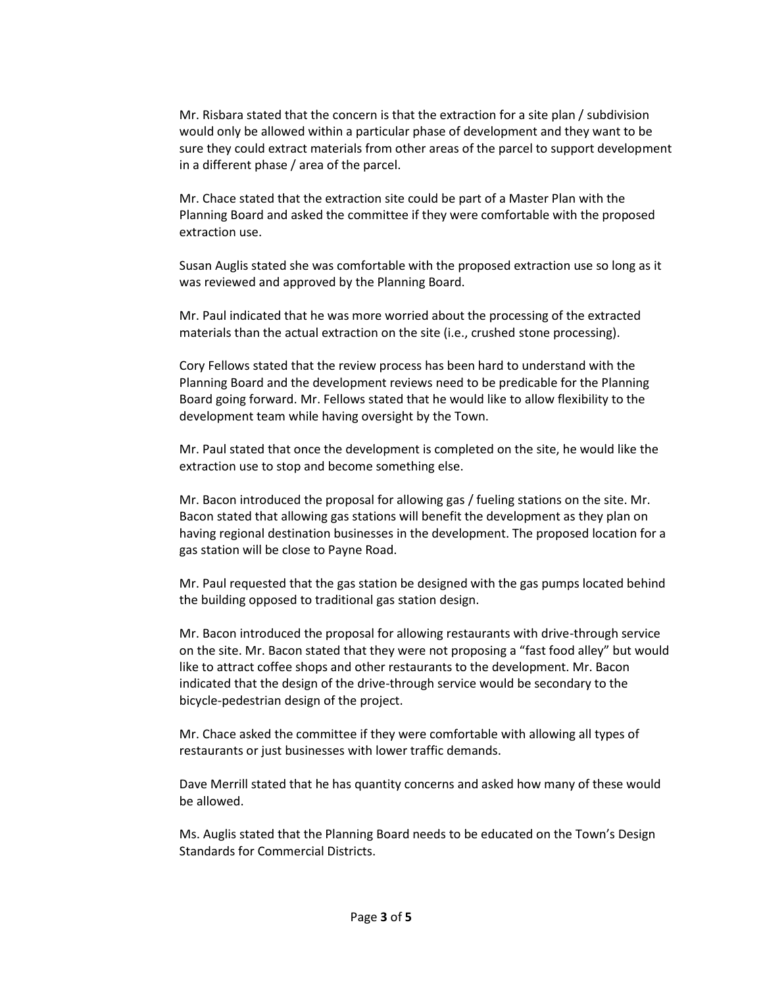Mr. Risbara stated that the concern is that the extraction for a site plan / subdivision would only be allowed within a particular phase of development and they want to be sure they could extract materials from other areas of the parcel to support development in a different phase / area of the parcel.

Mr. Chace stated that the extraction site could be part of a Master Plan with the Planning Board and asked the committee if they were comfortable with the proposed extraction use.

Susan Auglis stated she was comfortable with the proposed extraction use so long as it was reviewed and approved by the Planning Board.

Mr. Paul indicated that he was more worried about the processing of the extracted materials than the actual extraction on the site (i.e., crushed stone processing).

Cory Fellows stated that the review process has been hard to understand with the Planning Board and the development reviews need to be predicable for the Planning Board going forward. Mr. Fellows stated that he would like to allow flexibility to the development team while having oversight by the Town.

Mr. Paul stated that once the development is completed on the site, he would like the extraction use to stop and become something else.

Mr. Bacon introduced the proposal for allowing gas / fueling stations on the site. Mr. Bacon stated that allowing gas stations will benefit the development as they plan on having regional destination businesses in the development. The proposed location for a gas station will be close to Payne Road.

Mr. Paul requested that the gas station be designed with the gas pumps located behind the building opposed to traditional gas station design.

Mr. Bacon introduced the proposal for allowing restaurants with drive-through service on the site. Mr. Bacon stated that they were not proposing a "fast food alley" but would like to attract coffee shops and other restaurants to the development. Mr. Bacon indicated that the design of the drive-through service would be secondary to the bicycle-pedestrian design of the project.

Mr. Chace asked the committee if they were comfortable with allowing all types of restaurants or just businesses with lower traffic demands.

Dave Merrill stated that he has quantity concerns and asked how many of these would be allowed.

Ms. Auglis stated that the Planning Board needs to be educated on the Town's Design Standards for Commercial Districts.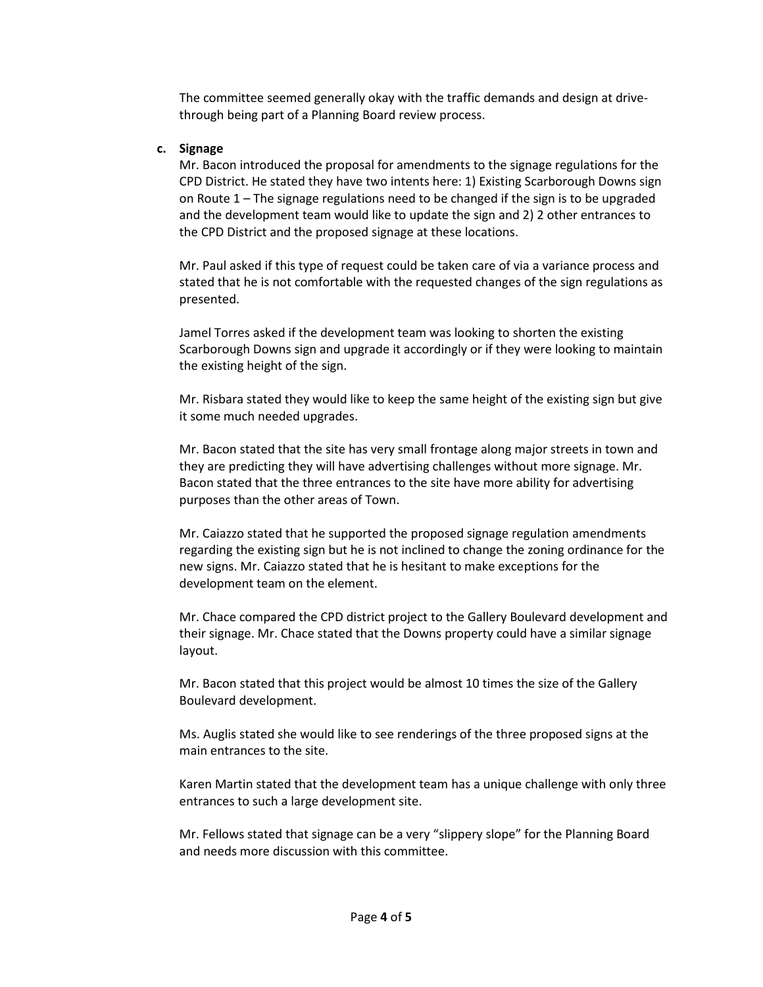The committee seemed generally okay with the traffic demands and design at drive through being part of a Planning Board review process.

### **c. Signage**

Mr. Bacon introduced the proposal for amendments to the signage regulations for the CPD District. He stated they have two intents here: 1) Existing Scarborough Downs sign on Route 1 – The signage regulations need to be changed if the sign is to be upgraded and the development team would like to update the sign and 2) 2 other entrances to the CPD District and the proposed signage at these locations.

Mr. Paul asked if this type of request could be taken care of via a variance process and stated that he is not comfortable with the requested changes of the sign regulations as presented.

Jamel Torres asked if the development team was looking to shorten the existing Scarborough Downs sign and upgrade it accordingly or if they were looking to maintain the existing height of the sign.

Mr. Risbara stated they would like to keep the same height of the existing sign but give it some much needed upgrades.

Mr. Bacon stated that the site has very small frontage along major streets in town and they are predicting they will have advertising challenges without more signage. Mr. Bacon stated that the three entrances to the site have more ability for advertising purposes than the other areas of Town.

Mr. Caiazzo stated that he supported the proposed signage regulation amendments regarding the existing sign but he is not inclined to change the zoning ordinance for the new signs. Mr. Caiazzo stated that he is hesitant to make exceptions for the development team on the element.

Mr. Chace compared the CPD district project to the Gallery Boulevard development and their signage. Mr. Chace stated that the Downs property could have a similar signage layout.

Mr. Bacon stated that this project would be almost 10 times the size of the Gallery Boulevard development.

Ms. Auglis stated she would like to see renderings of the three proposed signs at the main entrances to the site.

Karen Martin stated that the development team has a unique challenge with only three entrances to such a large development site.

Mr. Fellows stated that signage can be a very "slippery slope" for the Planning Board and needs more discussion with this committee.